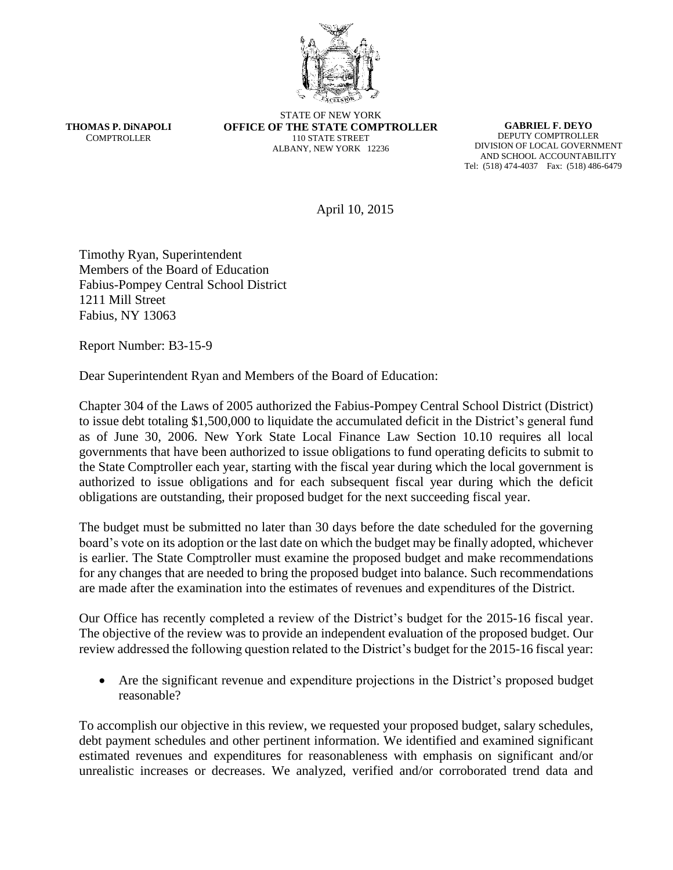

**THOMAS P. DiNAPOLI COMPTROLLER** 

STATE OF NEW YORK **OFFICE OF THE STATE COMPTROLLER** 110 STATE STREET ALBANY, NEW YORK 12236

**GABRIEL F. DEYO** DEPUTY COMPTROLLER DIVISION OF LOCAL GOVERNMENT AND SCHOOL ACCOUNTABILITY Tel: (518) 474-4037 Fax: (518) 486-6479

April 10, 2015

Timothy Ryan, Superintendent Members of the Board of Education Fabius-Pompey Central School District 1211 Mill Street Fabius, NY 13063

Report Number: B3-15-9

Dear Superintendent Ryan and Members of the Board of Education:

Chapter 304 of the Laws of 2005 authorized the Fabius-Pompey Central School District (District) to issue debt totaling \$1,500,000 to liquidate the accumulated deficit in the District's general fund as of June 30, 2006. New York State Local Finance Law Section 10.10 requires all local governments that have been authorized to issue obligations to fund operating deficits to submit to the State Comptroller each year, starting with the fiscal year during which the local government is authorized to issue obligations and for each subsequent fiscal year during which the deficit obligations are outstanding, their proposed budget for the next succeeding fiscal year.

The budget must be submitted no later than 30 days before the date scheduled for the governing board's vote on its adoption or the last date on which the budget may be finally adopted, whichever is earlier. The State Comptroller must examine the proposed budget and make recommendations for any changes that are needed to bring the proposed budget into balance. Such recommendations are made after the examination into the estimates of revenues and expenditures of the District.

Our Office has recently completed a review of the District's budget for the 2015-16 fiscal year. The objective of the review was to provide an independent evaluation of the proposed budget. Our review addressed the following question related to the District's budget for the 2015-16 fiscal year:

 Are the significant revenue and expenditure projections in the District's proposed budget reasonable?

To accomplish our objective in this review, we requested your proposed budget, salary schedules, debt payment schedules and other pertinent information. We identified and examined significant estimated revenues and expenditures for reasonableness with emphasis on significant and/or unrealistic increases or decreases. We analyzed, verified and/or corroborated trend data and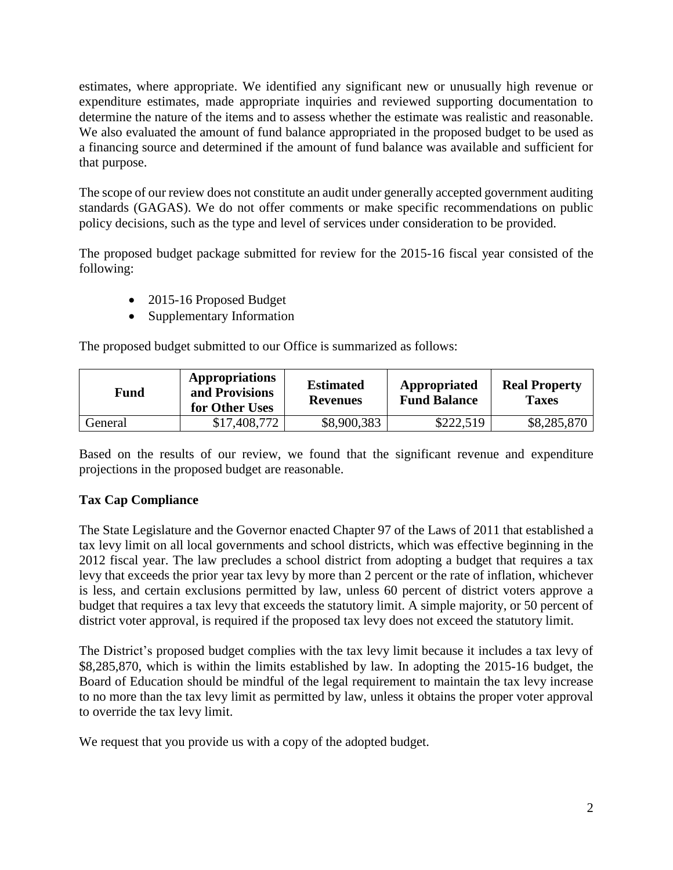estimates, where appropriate. We identified any significant new or unusually high revenue or expenditure estimates, made appropriate inquiries and reviewed supporting documentation to determine the nature of the items and to assess whether the estimate was realistic and reasonable. We also evaluated the amount of fund balance appropriated in the proposed budget to be used as a financing source and determined if the amount of fund balance was available and sufficient for that purpose.

The scope of our review does not constitute an audit under generally accepted government auditing standards (GAGAS). We do not offer comments or make specific recommendations on public policy decisions, such as the type and level of services under consideration to be provided.

The proposed budget package submitted for review for the 2015-16 fiscal year consisted of the following:

- 2015-16 Proposed Budget
- Supplementary Information

The proposed budget submitted to our Office is summarized as follows:

| Fund    | <b>Appropriations</b><br>and Provisions<br>for Other Uses | <b>Estimated</b><br><b>Revenues</b> | Appropriated<br><b>Fund Balance</b> | <b>Real Property</b><br><b>Taxes</b> |
|---------|-----------------------------------------------------------|-------------------------------------|-------------------------------------|--------------------------------------|
| General | \$17,408,772                                              | \$8,900,383                         | \$222,519                           | \$8,285,870                          |

Based on the results of our review, we found that the significant revenue and expenditure projections in the proposed budget are reasonable.

## **Tax Cap Compliance**

The State Legislature and the Governor enacted Chapter 97 of the Laws of 2011 that established a tax levy limit on all local governments and school districts, which was effective beginning in the 2012 fiscal year. The law precludes a school district from adopting a budget that requires a tax levy that exceeds the prior year tax levy by more than 2 percent or the rate of inflation, whichever is less, and certain exclusions permitted by law, unless 60 percent of district voters approve a budget that requires a tax levy that exceeds the statutory limit. A simple majority, or 50 percent of district voter approval, is required if the proposed tax levy does not exceed the statutory limit.

The District's proposed budget complies with the tax levy limit because it includes a tax levy of \$8,285,870, which is within the limits established by law. In adopting the 2015-16 budget, the Board of Education should be mindful of the legal requirement to maintain the tax levy increase to no more than the tax levy limit as permitted by law, unless it obtains the proper voter approval to override the tax levy limit.

We request that you provide us with a copy of the adopted budget.